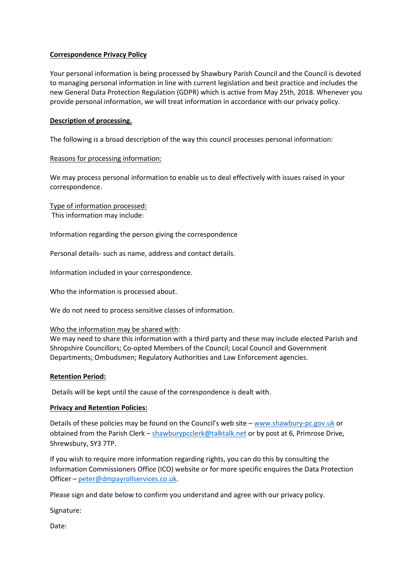## **Correspondence Privacy Policy**

Your personal information is being processed by Shawbury Parish Council and the Council is devoted to managing personal information in line with current legislation and best practice and includes the new General Data Protection Regulation (GDPR) which is active from May 25th, 2018. Whenever you provide personal information, we will treat information in accordance with our privacy policy.

# **Description of processing.**

The following is a broad description of the way this council processes personal information:

# Reasons for processing information:

We may process personal information to enable us to deal effectively with issues raised in your correspondence.

Type of information processed: This information may include:

Information regarding the person giving the correspondence

Personal details- such as name, address and contact details.

Information included in your correspondence.

Who the information is processed about.

We do not need to process sensitive classes of information.

## Who the information may be shared with:

We may need to share this information with a third party and these may include elected Parish and Shropshire Councillors; Co-opted Members of the Council; Local Council and Government Departments; Ombudsmen; Regulatory Authorities and Law Enforcement agencies.

## **Retention Period:**

Details will be kept until the cause of the correspondence is dealt with.

## **Privacy and Retention Policies:**

Details of these policies may be found on the Council's web site – [www.shawbury-pc.gov.uk](http://www.shawbury-pc.gov.uk/) or obtained from the Parish Clerk – [shawburypcclerk@talktalk.net](mailto:shawburypcclerk@talktalk.net) or by post at 6, Primrose Drive, Shrewsbury, SY3 7TP.

If you wish to require more information regarding rights, you can do this by consulting the Information Commissioners Office (ICO) website or for more specific enquires the Data Protection Officer – [peter@dmpayrollservices.co.uk.](mailto:peter@dmpayrollservices.co.uk)

Please sign and date below to confirm you understand and agree with our privacy policy.

Signature:

Date: